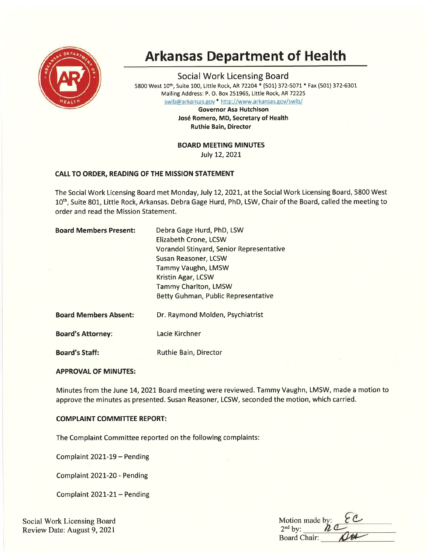

# Arkansas Department of Health

Social Work Licensing Board <sup>5800</sup>West 10th, Suite 100, Little Rock, AR 72204\* (501) 372-5071 \* Fax (501) 372-6301 Mailing Address: P. O. Box 251965, Little Rock, AR 72225 swlb@arkansas.gov \* http://www.arkansas.gov/swlb/

> Governor Asa Hutchison José Romero, MD, Secretary of Health Ruthie Bain, Director

BOARD MEETING MINUTES

July 12,2O2L

# CALL TO ORDER, READING OF THE MISSION STATEMENT

The Social Work Licensing Board met Monday, July 12, 2021, at the Social Work Licensing Board, 5800 West 10<sup>th</sup>, Suite 801, Little Rock, Arkansas. Debra Gage Hurd, PhD, LSW, Chair of the Board, called the meeting to order and read the Mission Statement.

| <b>Board Members Present:</b> | Debra Gage Hurd, PhD, LSW                       |
|-------------------------------|-------------------------------------------------|
|                               | Elizabeth Crone, LCSW                           |
|                               | <b>Vorandol Stinyard, Senior Representative</b> |
|                               | Susan Reasoner, LCSW                            |
|                               | Tammy Vaughn, LMSW                              |
|                               | Kristin Agar, LCSW                              |
|                               | <b>Tammy Charlton, LMSW</b>                     |
|                               | Betty Guhman, Public Representative             |
| <b>Board Members Absent:</b>  | Dr. Raymond Molden, Psychiatrist                |
| <b>Board's Attorney:</b>      | Lacie Kirchner                                  |
| <b>Board's Staff:</b>         | <b>Ruthie Bain, Director</b>                    |

## APPROVAL OF MINUTES:

Minutes from the June 14, 2021 Board meeting were reviewed. Tammy Vaughn, LMSW, made a motion to approve the minutes as presented. Susan Reasoner, LCSW, seconded the motion, which carried.

## **COMPLAINT COMMITTEE REPORT:**

The Complaint Committee reported on the following complaints:

Complaint 2021-19 - Pending

Complaint 2O2L-2O - Pending

Complaint 2O2L-2L- Pending

Social Work Licensing Board Review Date: August 9, 2021

| Motion made by:<br>$2nd$ by: |  |
|------------------------------|--|
| <b>Board Chair:</b>          |  |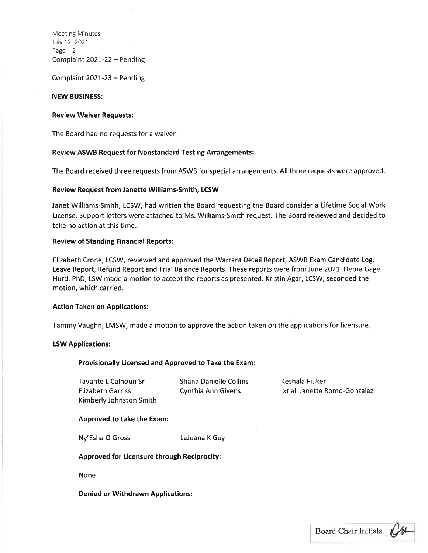Meeting Minutes July L2,2021 Page | <sup>2</sup> Complaint 2O2I-22 - Pending

Complaint 2O2t-23 - Pending

## NEW BUSINESS:

## Review Waiver Requests:

The Board had no requests for a waiver

## Review ASWB Request for Nonstandard Testing Arrangements:

The Board received three requests from ASWB for special arrangements. All three requests were approved,

## Review Request from Janette Williams-Smith, LCSW

Janet Williams-Smith, LCSW, had written the Board requesting the Board consider a Lifetime Social Work License. Support letters were attached to Ms. Williams-Smith request. The Board reviewed and decided to take no action at this time.

## Review of Standing Financial Reports:

Elizabeth Crone, LCSW, reviewed and approved the Warrant Detail Report, ASWB Exam Candidate Log, Leave Report, Refund Report and Trial Balance Reports. These reports were from June 2021. Debra Gage Hurd, PhD, LSW made a motion to accept the reports as presented. Kristin Agar, LCSW, seconded the motion, which carried.

#### Action Taken on Applications:

Tammy Vaughn, LMSW, made a motion to approve the action taken on the applications for licensure

#### LSW Applications:

#### Provisionally Licensed and Approved to Take the Exam:

Tavante L Calhoun Sr Elizabeth Garriss Kimberly Johnston Smith Shana Danielle Collins Cynthia Ann Givens

Keshala Fluker lxtlali Janette Romo-Gonzalez

#### Approved to take the Exam:

Ny'Esha O Gross Laluana K Guy

Approved for Licensure through Reciprocity:

None

Denied or Withdrawn Applications:

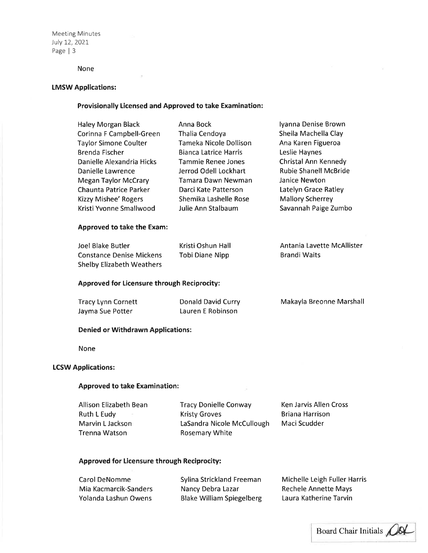Meeting Minutes July 12,2021, Page | <sup>3</sup>

## None

#### LMSW Applications:

## Provisionally Licensed and Approved to take Examination:

| Haley Morgan Black            | Anna Bock                    | Iyanna Denise Brown          |
|-------------------------------|------------------------------|------------------------------|
| Corinna F Campbell-Green      | Thalia Cendoya               | Sheila Machella Clay         |
| <b>Taylor Simone Coulter</b>  | Tameka Nicole Dollison       | Ana Karen Figueroa           |
| Brenda Fischer                | <b>Bianca Latrice Harris</b> | Leslie Haynes                |
| Danielle Alexandria Hicks     | Tammie Renee Jones           | Christal Ann Kennedy         |
| Danielle Lawrence             | Jerrod Odell Lockhart        | <b>Rubie Shanell McBride</b> |
| <b>Megan Taylor McCrary</b>   | Tamara Dawn Newman           | Janice Newton                |
| <b>Chaunta Patrice Parker</b> | Darci Kate Patterson         | Latelyn Grace Ratley         |
| <b>Kizzy Mishee' Rogers</b>   | Shemika Lashelle Rose        | <b>Mallory Scherrey</b>      |
| Kristi Yvonne Smallwood       | Julie Ann Stalbaum           | Savannah Paige Zumbo         |
|                               |                              |                              |

## Approved to take the Exam:

| Joel Blake Butler                | Kristi Oshun Hall | Antania Lavette McAllister |
|----------------------------------|-------------------|----------------------------|
| Constance Denise Mickens         | Tobi Diane Nipp   | <b>Brandi Waits</b>        |
| <b>Shelby Elizabeth Weathers</b> |                   |                            |

## Approved for Licensure through Reciprocity:

| <b>Tracy Lynn Cornett</b> | Donald David Curry | Makayla Breonne Marshall |
|---------------------------|--------------------|--------------------------|
| Jayma Sue Potter          | Lauren E Robinson  |                          |

## Denied or Withdrawn Applications:

None

## **LCSW Applications:**

## Approved to take Examination:

Allison Elizabeth Bean Ruth L Eudy Marvin L Jackson Trenna Watson

Tracy Donielle Conway Kristy Groves LaSandra Nicole McCullough Rosemary White

Ken Jarvis Allen Cross Briana Harrison Maci Scudder

# Approved for Licensure through Reciprocity:

| Carol DeNomme         | <b>Sylina Strickland Freeman</b> | Michelle Leigh Fuller Harris |
|-----------------------|----------------------------------|------------------------------|
| Mia Kacmarcik-Sanders | Nancy Debra Lazar                | <b>Rechele Annette Mays</b>  |
| Yolanda Lashun Owens  | <b>Blake William Spiegelberg</b> | Laura Katherine Tarvin       |